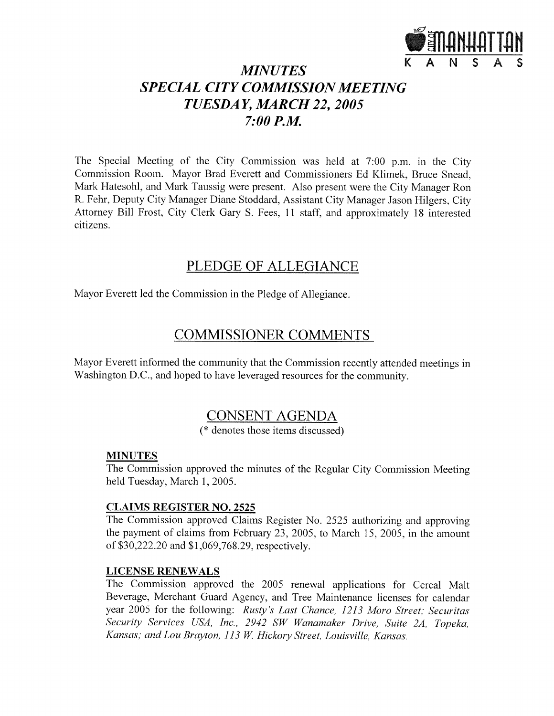

# **MINUTES SPECIAL CITY COMMISSION MEETING** TUESDAY, MARCH 22, 2005  $7:00$  P.M.

The Special Meeting of the City Commission was held at 7:00 p.m. in the City Commission Room. Mayor Brad Everett and Commissioners Ed Klimek, Bruce Snead, Mark Hatesohl, and Mark Taussig were present. Also present were the City Manager Ron R. Fehr, Deputy City Manager Diane Stoddard, Assistant City Manager Jason Hilgers, City Attorney Bill Frost, City Clerk Gary S. Fees, 11 staff, and approximately 18 interested citizens.

# PLEDGE OF ALLEGIANCE

Mayor Everett led the Commission in the Pledge of Allegiance.

# **COMMISSIONER COMMENTS**

Mayor Everett informed the community that the Commission recently attended meetings in Washington D.C., and hoped to have leveraged resources for the community.

# **CONSENT AGENDA**

(\* denotes those items discussed)

## **MINUTES**

The Commission approved the minutes of the Regular City Commission Meeting held Tuesday, March 1, 2005.

### **CLAIMS REGISTER NO. 2525**

The Commission approved Claims Register No. 2525 authorizing and approving the payment of claims from February 23, 2005, to March 15, 2005, in the amount of \$30,222.20 and \$1,069,768.29, respectively.

## **LICENSE RENEWALS**

The Commission approved the 2005 renewal applications for Cereal Malt Beverage, Merchant Guard Agency, and Tree Maintenance licenses for calendar year 2005 for the following: Rusty's Last Chance, 1213 Moro Street; Securitas Security Services USA, Inc., 2942 SW Wanamaker Drive, Suite 2A, Topeka, Kansas; and Lou Brayton, 113 W. Hickory Street, Louisville, Kansas.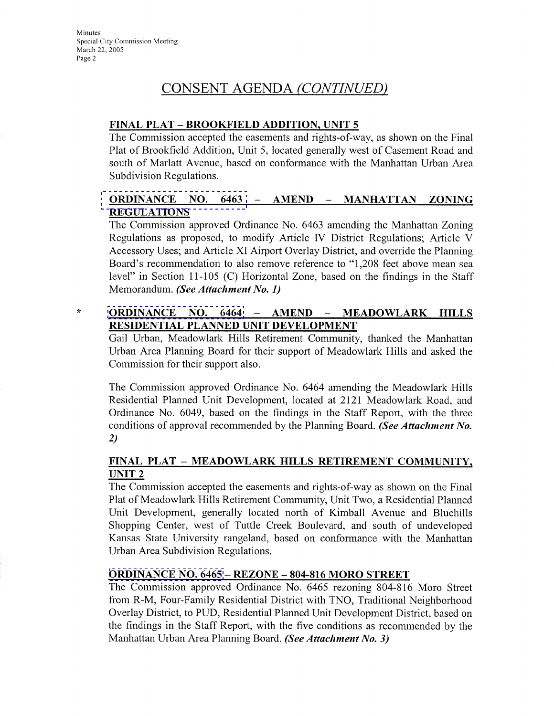$\star$ 

# CONSENT AGENDA (CONTINUED)

#### FINAL PLAT - BROOKFIELD ADDITION, UNIT 5

The Commission accepted the easements and rights-of-way, as shown on the Final Plat of Brookfield Addition, Unit 5, located generally west of Casement Road and south of Marlatt Avenue, based on conformance with the Manhattan Urban Area Subdivision Regulations.

#### ORDINANCE NO. 6463 - AMEND - MANHATTAN **ZONING REGULATIONS**

The Commission approved Ordinance No. 6463 amending the Manhattan Zoning Regulations as proposed, to modify Article IV District Regulations; Article V Accessory Uses; and Article XI Airport Overlay District, and override the Planning Board's recommendation to also remove reference to "1,208 feet above mean sea level" in Section 11-105 (C) Horizontal Zone, based on the findings in the Staff Memorandum. (See Attachment No. 1)

#### **ORDINANCE** NO. 6464 **AMEND** MEADOWLARK HILLS  $\overline{\phantom{a}}$  $\overline{\phantom{a}}$ RESIDENTIAL PLANNED UNIT DEVELOPMENT

Gail Urban, Meadowlark Hills Retirement Community, thanked the Manhattan Urban Area Planning Board for their support of Meadowlark Hills and asked the Commission for their support also.

The Commission approved Ordinance No. 6464 amending the Meadowlark Hills Residential Planned Unit Development, located at 2121 Meadowlark Road, and Ordinance No. 6049, based on the findings in the Staff Report, with the three conditions of approval recommended by the Planning Board. (See Attachment No.  $2)$ 

#### FINAL PLAT - MEADOWLARK HILLS RETIREMENT COMMUNITY, UNIT<sub>2</sub>

The Commission accepted the easements and rights-of-way as shown on the Final Plat of Meadowlark Hills Retirement Community, Unit Two, a Residential Planned Unit Development, generally located north of Kimball Avenue and Bluehills Shopping Center, west of Tuttle Creek Boulevard, and south of undeveloped Kansas State University rangeland, based on conformance with the Manhattan Urban Area Subdivision Regulations.

#### **ORDINANCE NO. 6465 - REZONE - 804-816 MORO STREET**

The Commission approved Ordinance No. 6465 rezoning 804-816 Moro Street from R-M, Four-Family Residential District with TNO, Traditional Neighborhood Overlay District, to PUD, Residential Planned Unit Development District, based on the findings in the Staff Report, with the five conditions as recommended by the Manhattan Urban Area Planning Board. (See Attachment No. 3)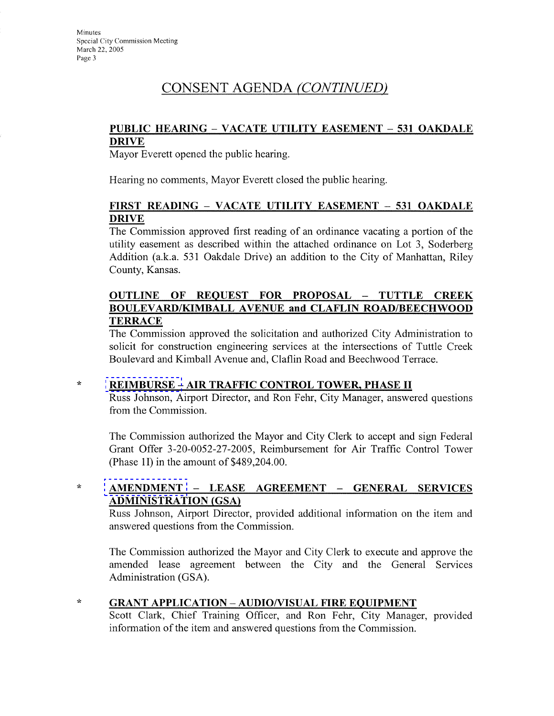# CONSENT AGENDA (CONTINUED)

#### PUBLIC HEARING – VACATE UTILITY EASEMENT – 531 OAKDALE **DRIVE**

Mayor Everett opened the public hearing.

Hearing no comments, Mayor Everett closed the public hearing.

#### FIRST READING – VACATE UTILITY EASEMENT – 531 OAKDALE **DRIVE**

The Commission approved first reading of an ordinance vacating a portion of the utility easement as described within the attached ordinance on Lot 3, Soderberg Addition (a.k.a. 531 Oakdale Drive) an addition to the City of Manhattan, Riley County, Kansas.

### OUTLINE OF REQUEST FOR PROPOSAL - TUTTLE CREEK **BOULEVARD/KIMBALL AVENUE and CLAFLIN ROAD/BEECHWOOD TERRACE**

The Commission approved the solicitation and authorized City Administration to solicit for construction engineering services at the intersections of Tuttle Creek Boulevard and Kimball Avenue and, Claflin Road and Beechwood Terrace.

#### $\star$ **REIMBURSE - AIR TRAFFIC CONTROL TOWER, PHASE II**

Russ Johnson, Airport Director, and Ron Fehr, City Manager, answered questions from the Commission.

The Commission authorized the Mayor and City Clerk to accept and sign Federal Grant Offer 3-20-0052-27-2005, Reimbursement for Air Traffic Control Tower (Phase 1I) in the amount of  $$489,204.00$ .

#### $\mathcal{R}$ AMENDMENT - LEASE AGREEMENT - GENERAL SERVICES **ADMINISTRATION (GSA)**

Russ Johnson, Airport Director, provided additional information on the item and answered questions from the Commission.

The Commission authorized the Mayor and City Clerk to execute and approve the amended lease agreement between the City and the General Services Administration (GSA).

#### $\star$ **GRANT APPLICATION - AUDIO/VISUAL FIRE EQUIPMENT**

Scott Clark, Chief Training Officer, and Ron Fehr, City Manager, provided information of the item and answered questions from the Commission.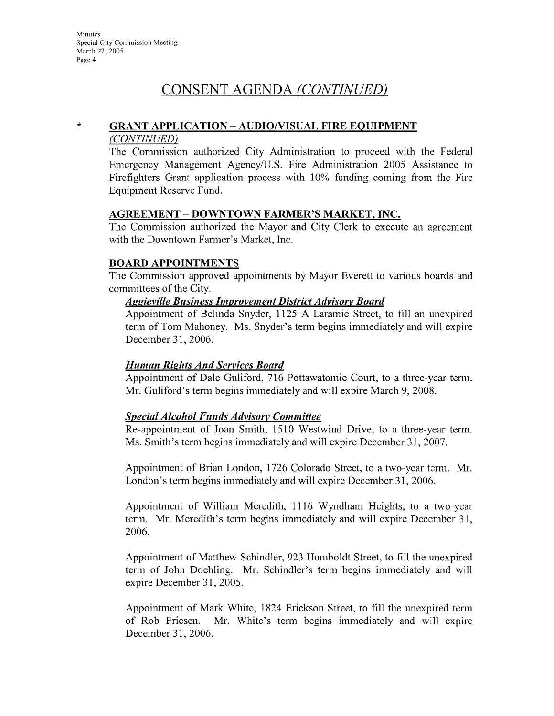# CONSENT AGENDA (CONTINUED)

#### $\star$ **GRANT APPLICATION - AUDIO/VISUAL FIRE EQUIPMENT**

#### (CONTINUED)

The Commission authorized City Administration to proceed with the Federal Emergency Management Agency/U.S. Fire Administration 2005 Assistance to Firefighters Grant application process with 10% funding coming from the Fire Equipment Reserve Fund.

#### **AGREEMENT - DOWNTOWN FARMER'S MARKET, INC.**

The Commission authorized the Mayor and City Clerk to execute an agreement with the Downtown Farmer's Market, Inc.

### **BOARD APPOINTMENTS**

The Commission approved appointments by Mayor Everett to various boards and committees of the City.

#### **Aggieville Business Improvement District Advisory Board**

Appointment of Belinda Snyder, 1125 A Laramie Street, to fill an unexpired term of Tom Mahoney. Ms. Snyder's term begins immediately and will expire December 31, 2006.

#### **Human Rights And Services Board**

Appointment of Dale Guliford, 716 Pottawatomie Court, to a three-year term. Mr. Guliford's term begins immediately and will expire March 9, 2008.

#### **Special Alcohol Funds Advisory Committee**

Re-appointment of Joan Smith, 1510 Westwind Drive, to a three-year term. Ms. Smith's term begins immediately and will expire December 31, 2007.

Appointment of Brian London, 1726 Colorado Street, to a two-year term. Mr. London's term begins immediately and will expire December 31, 2006.

Appointment of William Meredith, 1116 Wyndham Heights, to a two-year term. Mr. Meredith's term begins immediately and will expire December 31, 2006.

Appointment of Matthew Schindler, 923 Humboldt Street, to fill the unexpired term of John Doehling. Mr. Schindler's term begins immediately and will expire December 31, 2005.

Appointment of Mark White, 1824 Erickson Street, to fill the unexpired term of Rob Friesen. Mr. White's term begins immediately and will expire December 31, 2006.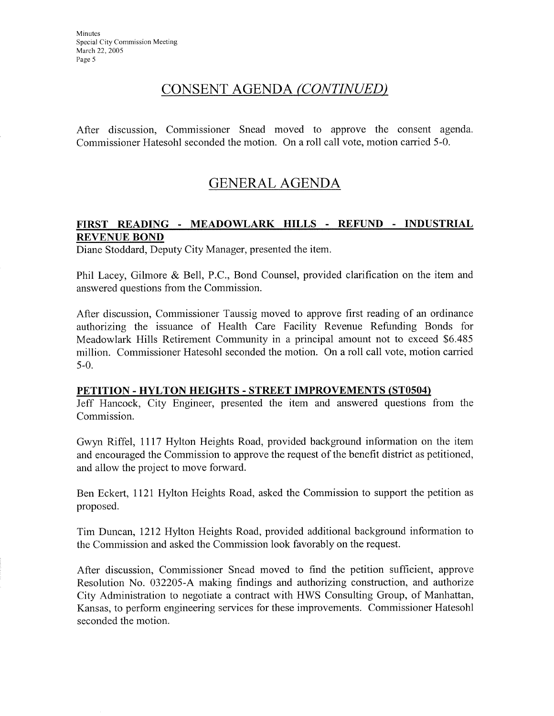# CONSENT AGENDA (CONTINUED)

After discussion, Commissioner Snead moved to approve the consent agenda. Commissioner Hatesohl seconded the motion. On a roll call vote, motion carried 5-0.

# **GENERAL AGENDA**

#### FIRST READING - MEADOWLARK HILLS - REFUND - INDUSTRIAL **REVENUE BOND**

Diane Stoddard, Deputy City Manager, presented the item.

Phil Lacey, Gilmore & Bell, P.C., Bond Counsel, provided clarification on the item and answered questions from the Commission.

After discussion, Commissioner Taussig moved to approve first reading of an ordinance authorizing the issuance of Health Care Facility Revenue Refunding Bonds for Meadowlark Hills Retirement Community in a principal amount not to exceed \$6.485 million. Commissioner Hatesohl seconded the motion. On a roll call vote, motion carried  $5-0.$ 

#### PETITION - HYLTON HEIGHTS - STREET IMPROVEMENTS (ST0504)

Jeff Hancock, City Engineer, presented the item and answered questions from the Commission.

Gwyn Riffel, 1117 Hylton Heights Road, provided background information on the item and encouraged the Commission to approve the request of the benefit district as petitioned, and allow the project to move forward.

Ben Eckert, 1121 Hylton Heights Road, asked the Commission to support the petition as proposed.

Tim Duncan, 1212 Hylton Heights Road, provided additional background information to the Commission and asked the Commission look favorably on the request.

After discussion, Commissioner Snead moved to find the petition sufficient, approve Resolution No. 032205-A making findings and authorizing construction, and authorize City Administration to negotiate a contract with HWS Consulting Group, of Manhattan, Kansas, to perform engineering services for these improvements. Commissioner Hatesohl seconded the motion.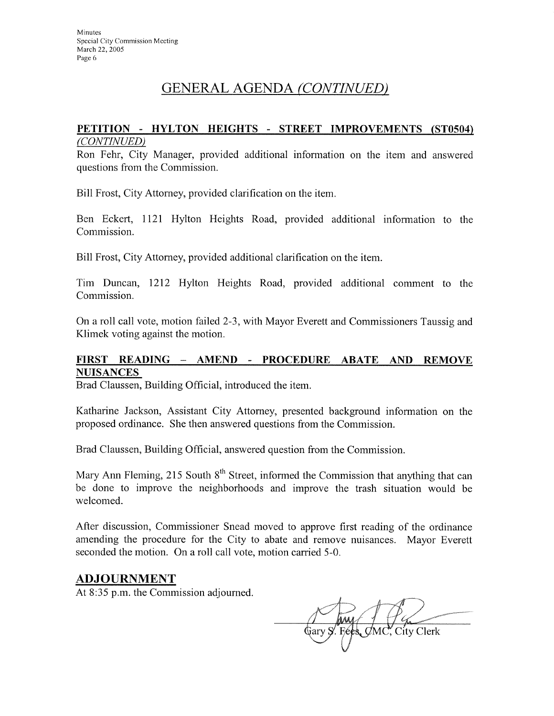# GENERAL AGENDA (CONTINUED)

#### PETITION - HYLTON HEIGHTS - STREET IMPROVEMENTS (ST0504) (CONTINUED)

Ron Fehr, City Manager, provided additional information on the item and answered questions from the Commission.

Bill Frost, City Attorney, provided clarification on the item.

Ben Eckert, 1121 Hylton Heights Road, provided additional information to the Commission.

Bill Frost, City Attorney, provided additional clarification on the item.

Tim Duncan, 1212 Hylton Heights Road, provided additional comment to the Commission.

On a roll call vote, motion failed 2-3, with Mayor Everett and Commissioners Taussig and Klimek voting against the motion.

### FIRST READING - AMEND - PROCEDURE ABATE AND REMOVE **NUISANCES**

Brad Claussen, Building Official, introduced the item.

Katharine Jackson, Assistant City Attorney, presented background information on the proposed ordinance. She then answered questions from the Commission.

Brad Claussen, Building Official, answered question from the Commission.

Mary Ann Fleming, 215 South 8<sup>th</sup> Street, informed the Commission that anything that can be done to improve the neighborhoods and improve the trash situation would be welcomed.

After discussion, Commissioner Snead moved to approve first reading of the ordinance amending the procedure for the City to abate and remove nuisances. Mayor Everett seconded the motion. On a roll call vote, motion carried 5-0.

## **ADJOURNMENT**

At 8:35 p.m. the Commission adjourned.

Gary S. Fees. CMC. City Clerk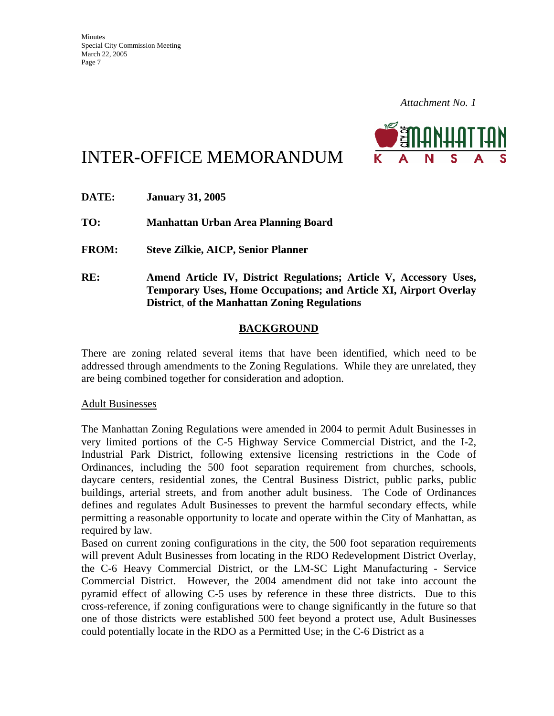

# INTER-OFFICE MEMORANDUM

| DATE:        | <b>January 31, 2005</b>                                                                                                                                                                         |
|--------------|-------------------------------------------------------------------------------------------------------------------------------------------------------------------------------------------------|
| TO:          | Manhattan Urban Area Planning Board                                                                                                                                                             |
| <b>FROM:</b> | <b>Steve Zilkie, AICP, Senior Planner</b>                                                                                                                                                       |
| RE:          | Amend Article IV, District Regulations; Article V, Accessory Uses,<br>Temporary Uses, Home Occupations; and Article XI, Airport Overlay<br><b>District, of the Manhattan Zoning Regulations</b> |

### **BACKGROUND**

There are zoning related several items that have been identified, which need to be addressed through amendments to the Zoning Regulations. While they are unrelated, they are being combined together for consideration and adoption.

Adult Businesses

The Manhattan Zoning Regulations were amended in 2004 to permit Adult Businesses in very limited portions of the C-5 Highway Service Commercial District, and the I-2, Industrial Park District, following extensive licensing restrictions in the Code of Ordinances, including the 500 foot separation requirement from churches, schools, daycare centers, residential zones, the Central Business District, public parks, public buildings, arterial streets, and from another adult business. The Code of Ordinances defines and regulates Adult Businesses to prevent the harmful secondary effects, while permitting a reasonable opportunity to locate and operate within the City of Manhattan, as required by law.

Based on current zoning configurations in the city, the 500 foot separation requirements will prevent Adult Businesses from locating in the RDO Redevelopment District Overlay, the C-6 Heavy Commercial District, or the LM-SC Light Manufacturing - Service Commercial District. However, the 2004 amendment did not take into account the pyramid effect of allowing C-5 uses by reference in these three districts. Due to this cross-reference, if zoning configurations were to change significantly in the future so that one of those districts were established 500 feet beyond a protect use, Adult Businesses could potentially locate in the RDO as a Permitted Use; in the C-6 District as a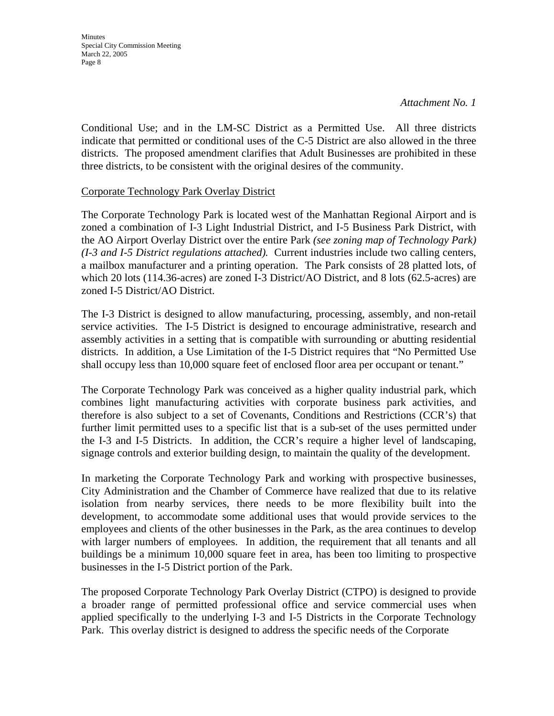Conditional Use; and in the LM-SC District as a Permitted Use. All three districts indicate that permitted or conditional uses of the C-5 District are also allowed in the three districts. The proposed amendment clarifies that Adult Businesses are prohibited in these three districts, to be consistent with the original desires of the community.

### Corporate Technology Park Overlay District

The Corporate Technology Park is located west of the Manhattan Regional Airport and is zoned a combination of I-3 Light Industrial District, and I-5 Business Park District, with the AO Airport Overlay District over the entire Park *(see zoning map of Technology Park) (I-3 and I-5 District regulations attached).* Current industries include two calling centers, a mailbox manufacturer and a printing operation. The Park consists of 28 platted lots, of which 20 lots (114.36-acres) are zoned I-3 District/AO District, and 8 lots (62.5-acres) are zoned I-5 District/AO District.

The I-3 District is designed to allow manufacturing, processing, assembly, and non-retail service activities. The I-5 District is designed to encourage administrative, research and assembly activities in a setting that is compatible with surrounding or abutting residential districts. In addition, a Use Limitation of the I-5 District requires that "No Permitted Use shall occupy less than 10,000 square feet of enclosed floor area per occupant or tenant."

The Corporate Technology Park was conceived as a higher quality industrial park, which combines light manufacturing activities with corporate business park activities, and therefore is also subject to a set of Covenants, Conditions and Restrictions (CCR's) that further limit permitted uses to a specific list that is a sub-set of the uses permitted under the I-3 and I-5 Districts. In addition, the CCR's require a higher level of landscaping, signage controls and exterior building design, to maintain the quality of the development.

In marketing the Corporate Technology Park and working with prospective businesses, City Administration and the Chamber of Commerce have realized that due to its relative isolation from nearby services, there needs to be more flexibility built into the development, to accommodate some additional uses that would provide services to the employees and clients of the other businesses in the Park, as the area continues to develop with larger numbers of employees. In addition, the requirement that all tenants and all buildings be a minimum 10,000 square feet in area, has been too limiting to prospective businesses in the I-5 District portion of the Park.

The proposed Corporate Technology Park Overlay District (CTPO) is designed to provide a broader range of permitted professional office and service commercial uses when applied specifically to the underlying I-3 and I-5 Districts in the Corporate Technology Park. This overlay district is designed to address the specific needs of the Corporate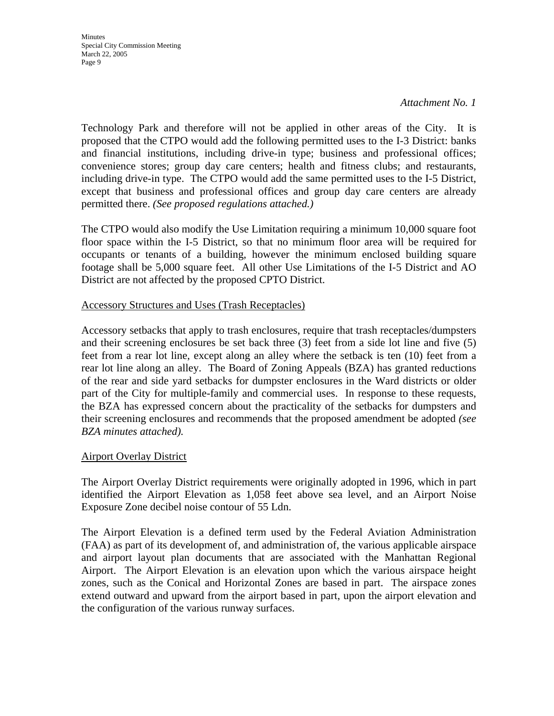*Attachment No. 1*

Technology Park and therefore will not be applied in other areas of the City. It is proposed that the CTPO would add the following permitted uses to the I-3 District: banks and financial institutions, including drive-in type; business and professional offices; convenience stores; group day care centers; health and fitness clubs; and restaurants, including drive-in type. The CTPO would add the same permitted uses to the I-5 District, except that business and professional offices and group day care centers are already permitted there. *(See proposed regulations attached.)* 

The CTPO would also modify the Use Limitation requiring a minimum 10,000 square foot floor space within the I-5 District, so that no minimum floor area will be required for occupants or tenants of a building, however the minimum enclosed building square footage shall be 5,000 square feet. All other Use Limitations of the I-5 District and AO District are not affected by the proposed CPTO District.

#### Accessory Structures and Uses (Trash Receptacles)

Accessory setbacks that apply to trash enclosures, require that trash receptacles/dumpsters and their screening enclosures be set back three (3) feet from a side lot line and five (5) feet from a rear lot line, except along an alley where the setback is ten (10) feet from a rear lot line along an alley. The Board of Zoning Appeals (BZA) has granted reductions of the rear and side yard setbacks for dumpster enclosures in the Ward districts or older part of the City for multiple-family and commercial uses. In response to these requests, the BZA has expressed concern about the practicality of the setbacks for dumpsters and their screening enclosures and recommends that the proposed amendment be adopted *(see BZA minutes attached).*

### Airport Overlay District

The Airport Overlay District requirements were originally adopted in 1996, which in part identified the Airport Elevation as 1,058 feet above sea level, and an Airport Noise Exposure Zone decibel noise contour of 55 Ldn.

The Airport Elevation is a defined term used by the Federal Aviation Administration (FAA) as part of its development of, and administration of, the various applicable airspace and airport layout plan documents that are associated with the Manhattan Regional Airport. The Airport Elevation is an elevation upon which the various airspace height zones, such as the Conical and Horizontal Zones are based in part. The airspace zones extend outward and upward from the airport based in part, upon the airport elevation and the configuration of the various runway surfaces.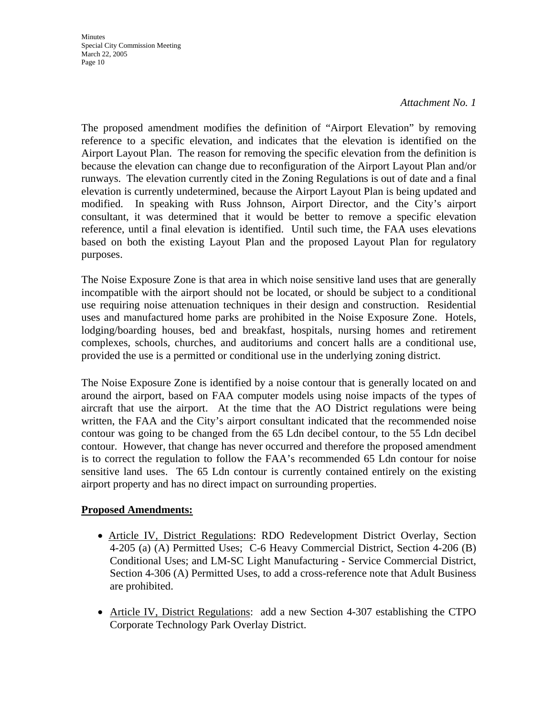#### *Attachment No. 1*

The proposed amendment modifies the definition of "Airport Elevation" by removing reference to a specific elevation, and indicates that the elevation is identified on the Airport Layout Plan. The reason for removing the specific elevation from the definition is because the elevation can change due to reconfiguration of the Airport Layout Plan and/or runways. The elevation currently cited in the Zoning Regulations is out of date and a final elevation is currently undetermined, because the Airport Layout Plan is being updated and modified. In speaking with Russ Johnson, Airport Director, and the City's airport consultant, it was determined that it would be better to remove a specific elevation reference, until a final elevation is identified. Until such time, the FAA uses elevations based on both the existing Layout Plan and the proposed Layout Plan for regulatory purposes.

The Noise Exposure Zone is that area in which noise sensitive land uses that are generally incompatible with the airport should not be located, or should be subject to a conditional use requiring noise attenuation techniques in their design and construction. Residential uses and manufactured home parks are prohibited in the Noise Exposure Zone. Hotels, lodging/boarding houses, bed and breakfast, hospitals, nursing homes and retirement complexes, schools, churches, and auditoriums and concert halls are a conditional use, provided the use is a permitted or conditional use in the underlying zoning district.

The Noise Exposure Zone is identified by a noise contour that is generally located on and around the airport, based on FAA computer models using noise impacts of the types of aircraft that use the airport. At the time that the AO District regulations were being written, the FAA and the City's airport consultant indicated that the recommended noise contour was going to be changed from the 65 Ldn decibel contour, to the 55 Ldn decibel contour. However, that change has never occurred and therefore the proposed amendment is to correct the regulation to follow the FAA's recommended 65 Ldn contour for noise sensitive land uses. The 65 Ldn contour is currently contained entirely on the existing airport property and has no direct impact on surrounding properties.

### **Proposed Amendments:**

- Article IV, District Regulations: RDO Redevelopment District Overlay, Section 4-205 (a) (A) Permitted Uses; C-6 Heavy Commercial District, Section 4-206 (B) Conditional Uses; and LM-SC Light Manufacturing - Service Commercial District, Section 4-306 (A) Permitted Uses, to add a cross-reference note that Adult Business are prohibited.
- Article IV, District Regulations: add a new Section 4-307 establishing the CTPO Corporate Technology Park Overlay District.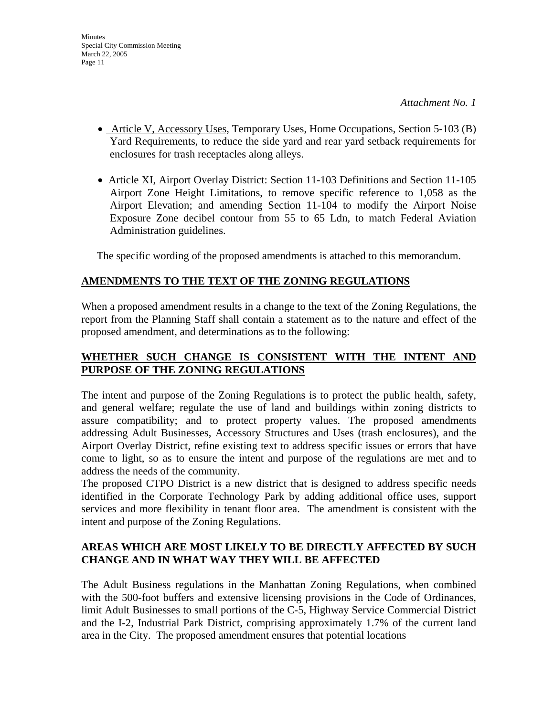- Article V, Accessory Uses, Temporary Uses, Home Occupations, Section 5-103 (B) Yard Requirements, to reduce the side yard and rear yard setback requirements for enclosures for trash receptacles along alleys.
- Article XI, Airport Overlay District: Section 11-103 Definitions and Section 11-105 Airport Zone Height Limitations, to remove specific reference to 1,058 as the Airport Elevation; and amending Section 11-104 to modify the Airport Noise Exposure Zone decibel contour from 55 to 65 Ldn, to match Federal Aviation Administration guidelines.

The specific wording of the proposed amendments is attached to this memorandum.

# **AMENDMENTS TO THE TEXT OF THE ZONING REGULATIONS**

When a proposed amendment results in a change to the text of the Zoning Regulations, the report from the Planning Staff shall contain a statement as to the nature and effect of the proposed amendment, and determinations as to the following:

## **WHETHER SUCH CHANGE IS CONSISTENT WITH THE INTENT AND PURPOSE OF THE ZONING REGULATIONS**

The intent and purpose of the Zoning Regulations is to protect the public health, safety, and general welfare; regulate the use of land and buildings within zoning districts to assure compatibility; and to protect property values. The proposed amendments addressing Adult Businesses, Accessory Structures and Uses (trash enclosures), and the Airport Overlay District, refine existing text to address specific issues or errors that have come to light, so as to ensure the intent and purpose of the regulations are met and to address the needs of the community.

The proposed CTPO District is a new district that is designed to address specific needs identified in the Corporate Technology Park by adding additional office uses, support services and more flexibility in tenant floor area. The amendment is consistent with the intent and purpose of the Zoning Regulations.

## **AREAS WHICH ARE MOST LIKELY TO BE DIRECTLY AFFECTED BY SUCH CHANGE AND IN WHAT WAY THEY WILL BE AFFECTED**

The Adult Business regulations in the Manhattan Zoning Regulations, when combined with the 500-foot buffers and extensive licensing provisions in the Code of Ordinances, limit Adult Businesses to small portions of the C-5, Highway Service Commercial District and the I-2, Industrial Park District, comprising approximately 1.7% of the current land area in the City. The proposed amendment ensures that potential locations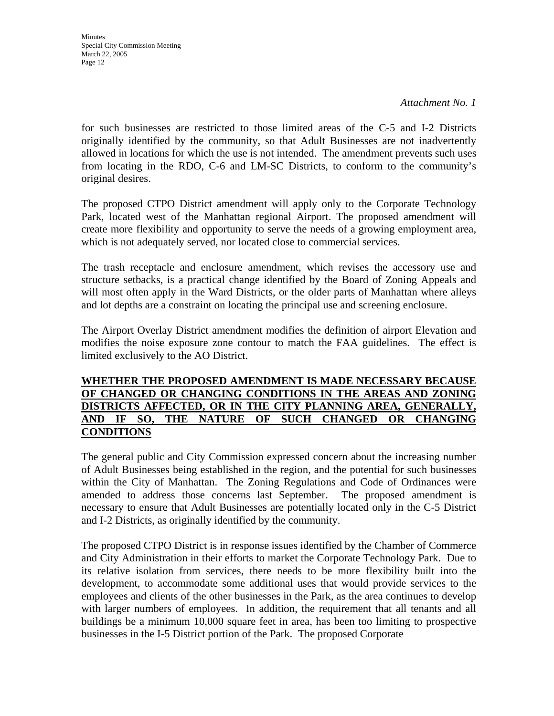*Attachment No. 1*

for such businesses are restricted to those limited areas of the C-5 and I-2 Districts originally identified by the community, so that Adult Businesses are not inadvertently allowed in locations for which the use is not intended. The amendment prevents such uses from locating in the RDO, C-6 and LM-SC Districts, to conform to the community's original desires.

The proposed CTPO District amendment will apply only to the Corporate Technology Park, located west of the Manhattan regional Airport. The proposed amendment will create more flexibility and opportunity to serve the needs of a growing employment area, which is not adequately served, nor located close to commercial services.

The trash receptacle and enclosure amendment, which revises the accessory use and structure setbacks, is a practical change identified by the Board of Zoning Appeals and will most often apply in the Ward Districts, or the older parts of Manhattan where alleys and lot depths are a constraint on locating the principal use and screening enclosure.

The Airport Overlay District amendment modifies the definition of airport Elevation and modifies the noise exposure zone contour to match the FAA guidelines. The effect is limited exclusively to the AO District.

### **WHETHER THE PROPOSED AMENDMENT IS MADE NECESSARY BECAUSE OF CHANGED OR CHANGING CONDITIONS IN THE AREAS AND ZONING DISTRICTS AFFECTED, OR IN THE CITY PLANNING AREA, GENERALLY, AND IF SO, THE NATURE OF SUCH CHANGED OR CHANGING CONDITIONS**

The general public and City Commission expressed concern about the increasing number of Adult Businesses being established in the region, and the potential for such businesses within the City of Manhattan. The Zoning Regulations and Code of Ordinances were amended to address those concerns last September. The proposed amendment is necessary to ensure that Adult Businesses are potentially located only in the C-5 District and I-2 Districts, as originally identified by the community.

The proposed CTPO District is in response issues identified by the Chamber of Commerce and City Administration in their efforts to market the Corporate Technology Park. Due to its relative isolation from services, there needs to be more flexibility built into the development, to accommodate some additional uses that would provide services to the employees and clients of the other businesses in the Park, as the area continues to develop with larger numbers of employees. In addition, the requirement that all tenants and all buildings be a minimum 10,000 square feet in area, has been too limiting to prospective businesses in the I-5 District portion of the Park. The proposed Corporate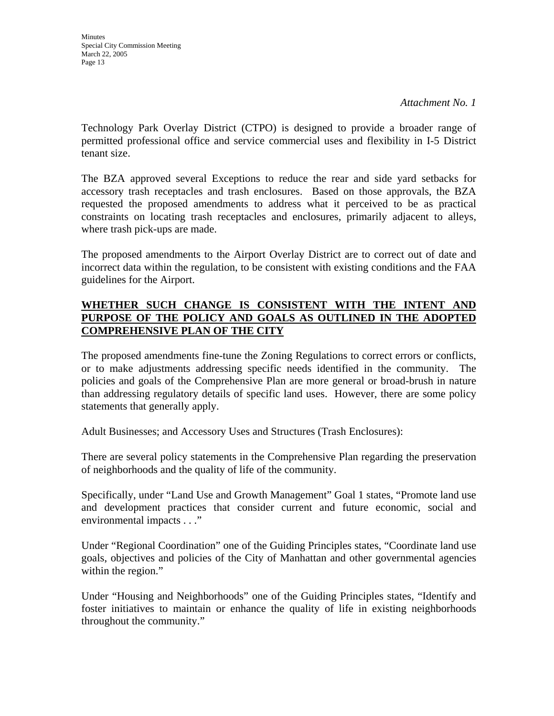Technology Park Overlay District (CTPO) is designed to provide a broader range of permitted professional office and service commercial uses and flexibility in I-5 District tenant size.

The BZA approved several Exceptions to reduce the rear and side yard setbacks for accessory trash receptacles and trash enclosures. Based on those approvals, the BZA requested the proposed amendments to address what it perceived to be as practical constraints on locating trash receptacles and enclosures, primarily adjacent to alleys, where trash pick-ups are made.

The proposed amendments to the Airport Overlay District are to correct out of date and incorrect data within the regulation, to be consistent with existing conditions and the FAA guidelines for the Airport.

## **WHETHER SUCH CHANGE IS CONSISTENT WITH THE INTENT AND PURPOSE OF THE POLICY AND GOALS AS OUTLINED IN THE ADOPTED COMPREHENSIVE PLAN OF THE CITY**

The proposed amendments fine-tune the Zoning Regulations to correct errors or conflicts, or to make adjustments addressing specific needs identified in the community. The policies and goals of the Comprehensive Plan are more general or broad-brush in nature than addressing regulatory details of specific land uses. However, there are some policy statements that generally apply.

Adult Businesses; and Accessory Uses and Structures (Trash Enclosures):

There are several policy statements in the Comprehensive Plan regarding the preservation of neighborhoods and the quality of life of the community.

Specifically, under "Land Use and Growth Management" Goal 1 states, "Promote land use and development practices that consider current and future economic, social and environmental impacts . . ."

Under "Regional Coordination" one of the Guiding Principles states, "Coordinate land use goals, objectives and policies of the City of Manhattan and other governmental agencies within the region."

Under "Housing and Neighborhoods" one of the Guiding Principles states, "Identify and foster initiatives to maintain or enhance the quality of life in existing neighborhoods throughout the community."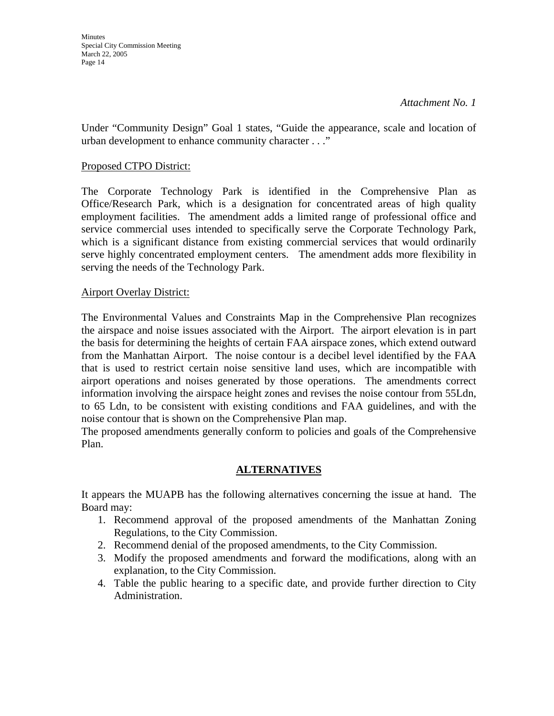#### *Attachment No. 1*

Under "Community Design" Goal 1 states, "Guide the appearance, scale and location of urban development to enhance community character . . ."

#### Proposed CTPO District:

The Corporate Technology Park is identified in the Comprehensive Plan as Office/Research Park, which is a designation for concentrated areas of high quality employment facilities. The amendment adds a limited range of professional office and service commercial uses intended to specifically serve the Corporate Technology Park, which is a significant distance from existing commercial services that would ordinarily serve highly concentrated employment centers. The amendment adds more flexibility in serving the needs of the Technology Park.

#### Airport Overlay District:

The Environmental Values and Constraints Map in the Comprehensive Plan recognizes the airspace and noise issues associated with the Airport. The airport elevation is in part the basis for determining the heights of certain FAA airspace zones, which extend outward from the Manhattan Airport. The noise contour is a decibel level identified by the FAA that is used to restrict certain noise sensitive land uses, which are incompatible with airport operations and noises generated by those operations. The amendments correct information involving the airspace height zones and revises the noise contour from 55Ldn, to 65 Ldn, to be consistent with existing conditions and FAA guidelines, and with the noise contour that is shown on the Comprehensive Plan map.

The proposed amendments generally conform to policies and goals of the Comprehensive Plan.

### **ALTERNATIVES**

It appears the MUAPB has the following alternatives concerning the issue at hand. The Board may:

- 1. Recommend approval of the proposed amendments of the Manhattan Zoning Regulations, to the City Commission.
- 2. Recommend denial of the proposed amendments, to the City Commission.
- 3. Modify the proposed amendments and forward the modifications, along with an explanation, to the City Commission.
- 4. Table the public hearing to a specific date, and provide further direction to City Administration.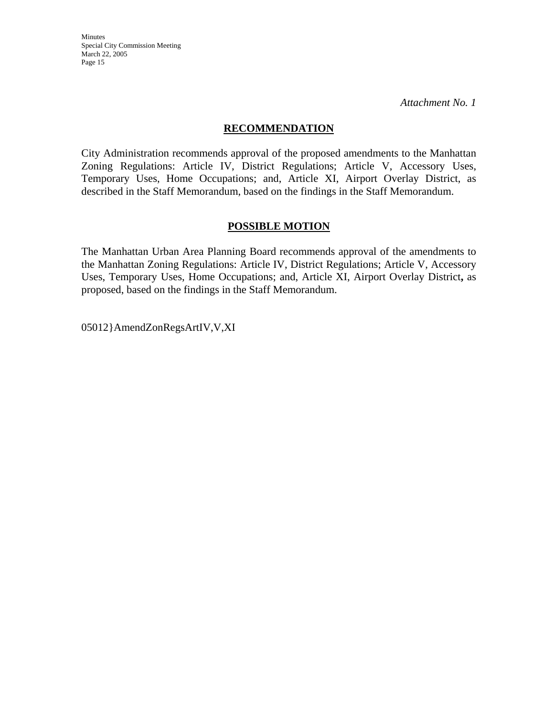*Attachment No. 1*

#### **RECOMMENDATION**

City Administration recommends approval of the proposed amendments to the Manhattan Zoning Regulations: Article IV, District Regulations; Article V, Accessory Uses, Temporary Uses, Home Occupations; and, Article XI, Airport Overlay District, as described in the Staff Memorandum, based on the findings in the Staff Memorandum.

#### **POSSIBLE MOTION**

The Manhattan Urban Area Planning Board recommends approval of the amendments to the Manhattan Zoning Regulations: Article IV, District Regulations; Article V, Accessory Uses, Temporary Uses, Home Occupations; and, Article XI, Airport Overlay District**,** as proposed, based on the findings in the Staff Memorandum.

05012}AmendZonRegsArtIV,V,XI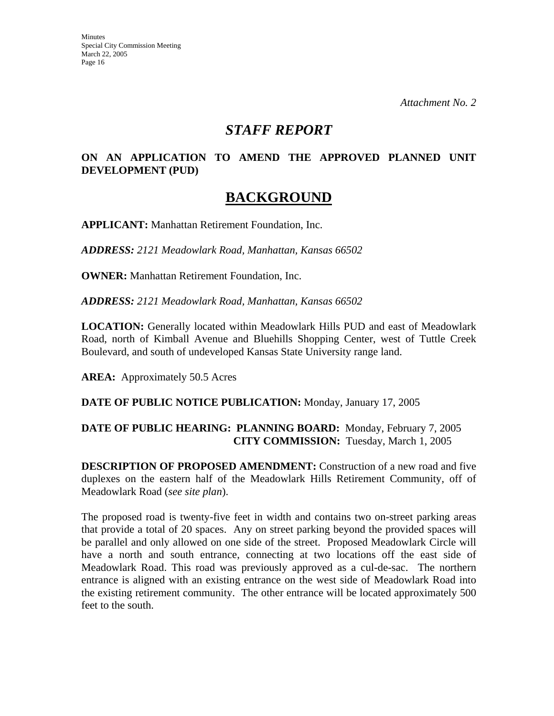*Attachment No. 2*

# *STAFF REPORT*

### **ON AN APPLICATION TO AMEND THE APPROVED PLANNED UNIT DEVELOPMENT (PUD)**

# **BACKGROUND**

**APPLICANT:** Manhattan Retirement Foundation, Inc.

*ADDRESS: 2121 Meadowlark Road, Manhattan, Kansas 66502*

**OWNER:** Manhattan Retirement Foundation, Inc.

*ADDRESS: 2121 Meadowlark Road, Manhattan, Kansas 66502*

**LOCATION:** Generally located within Meadowlark Hills PUD and east of Meadowlark Road, north of Kimball Avenue and Bluehills Shopping Center, west of Tuttle Creek Boulevard, and south of undeveloped Kansas State University range land.

**AREA:** Approximately 50.5 Acres

**DATE OF PUBLIC NOTICE PUBLICATION:** Monday, January 17, 2005

### **DATE OF PUBLIC HEARING: PLANNING BOARD:** Monday, February 7, 2005 **CITY COMMISSION:** Tuesday, March 1, 2005

**DESCRIPTION OF PROPOSED AMENDMENT:** Construction of a new road and five duplexes on the eastern half of the Meadowlark Hills Retirement Community, off of Meadowlark Road (*see site plan*).

The proposed road is twenty-five feet in width and contains two on-street parking areas that provide a total of 20 spaces. Any on street parking beyond the provided spaces will be parallel and only allowed on one side of the street. Proposed Meadowlark Circle will have a north and south entrance, connecting at two locations off the east side of Meadowlark Road. This road was previously approved as a cul-de-sac. The northern entrance is aligned with an existing entrance on the west side of Meadowlark Road into the existing retirement community. The other entrance will be located approximately 500 feet to the south.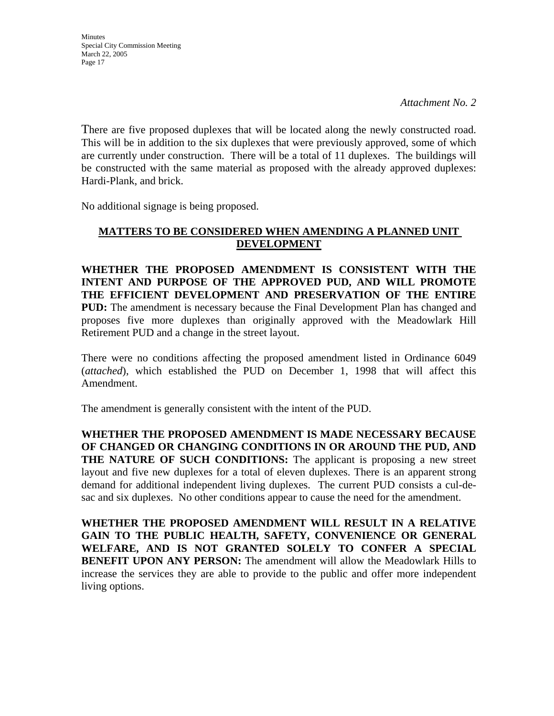There are five proposed duplexes that will be located along the newly constructed road. This will be in addition to the six duplexes that were previously approved, some of which are currently under construction. There will be a total of 11 duplexes. The buildings will be constructed with the same material as proposed with the already approved duplexes: Hardi-Plank, and brick.

No additional signage is being proposed.

### **MATTERS TO BE CONSIDERED WHEN AMENDING A PLANNED UNIT DEVELOPMENT**

**WHETHER THE PROPOSED AMENDMENT IS CONSISTENT WITH THE INTENT AND PURPOSE OF THE APPROVED PUD, AND WILL PROMOTE THE EFFICIENT DEVELOPMENT AND PRESERVATION OF THE ENTIRE PUD:** The amendment is necessary because the Final Development Plan has changed and proposes five more duplexes than originally approved with the Meadowlark Hill Retirement PUD and a change in the street layout.

There were no conditions affecting the proposed amendment listed in Ordinance 6049 (*attached*), which established the PUD on December 1, 1998 that will affect this Amendment.

The amendment is generally consistent with the intent of the PUD.

**WHETHER THE PROPOSED AMENDMENT IS MADE NECESSARY BECAUSE OF CHANGED OR CHANGING CONDITIONS IN OR AROUND THE PUD, AND THE NATURE OF SUCH CONDITIONS:** The applicant is proposing a new street layout and five new duplexes for a total of eleven duplexes. There is an apparent strong demand for additional independent living duplexes. The current PUD consists a cul-desac and six duplexes. No other conditions appear to cause the need for the amendment.

**WHETHER THE PROPOSED AMENDMENT WILL RESULT IN A RELATIVE GAIN TO THE PUBLIC HEALTH, SAFETY, CONVENIENCE OR GENERAL WELFARE, AND IS NOT GRANTED SOLELY TO CONFER A SPECIAL BENEFIT UPON ANY PERSON:** The amendment will allow the Meadowlark Hills to increase the services they are able to provide to the public and offer more independent living options.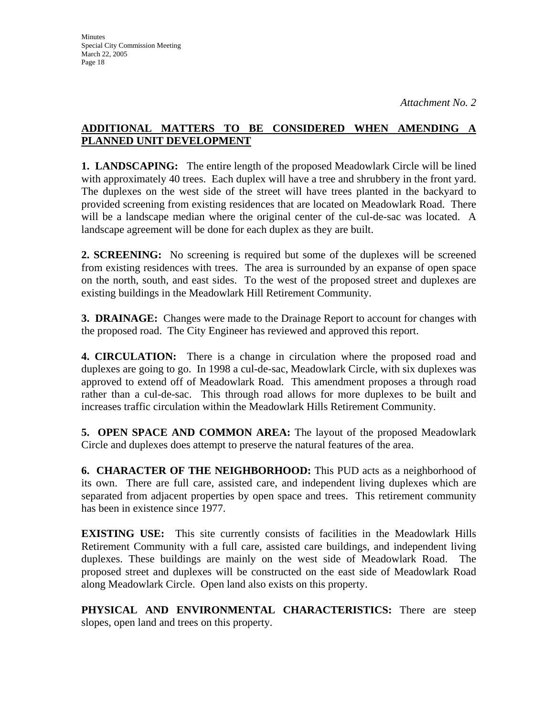### **ADDITIONAL MATTERS TO BE CONSIDERED WHEN AMENDING A PLANNED UNIT DEVELOPMENT**

**1. LANDSCAPING:** The entire length of the proposed Meadowlark Circle will be lined with approximately 40 trees. Each duplex will have a tree and shrubbery in the front yard. The duplexes on the west side of the street will have trees planted in the backyard to provided screening from existing residences that are located on Meadowlark Road. There will be a landscape median where the original center of the cul-de-sac was located. A landscape agreement will be done for each duplex as they are built.

**2. SCREENING:** No screening is required but some of the duplexes will be screened from existing residences with trees. The area is surrounded by an expanse of open space on the north, south, and east sides. To the west of the proposed street and duplexes are existing buildings in the Meadowlark Hill Retirement Community.

**3. DRAINAGE:** Changes were made to the Drainage Report to account for changes with the proposed road. The City Engineer has reviewed and approved this report.

**4. CIRCULATION:** There is a change in circulation where the proposed road and duplexes are going to go. In 1998 a cul-de-sac, Meadowlark Circle, with six duplexes was approved to extend off of Meadowlark Road. This amendment proposes a through road rather than a cul-de-sac. This through road allows for more duplexes to be built and increases traffic circulation within the Meadowlark Hills Retirement Community.

**5. OPEN SPACE AND COMMON AREA:** The layout of the proposed Meadowlark Circle and duplexes does attempt to preserve the natural features of the area.

**6. CHARACTER OF THE NEIGHBORHOOD:** This PUD acts as a neighborhood of its own. There are full care, assisted care, and independent living duplexes which are separated from adjacent properties by open space and trees. This retirement community has been in existence since 1977.

**EXISTING USE:** This site currently consists of facilities in the Meadowlark Hills Retirement Community with a full care, assisted care buildings, and independent living duplexes. These buildings are mainly on the west side of Meadowlark Road. The proposed street and duplexes will be constructed on the east side of Meadowlark Road along Meadowlark Circle. Open land also exists on this property.

**PHYSICAL AND ENVIRONMENTAL CHARACTERISTICS:** There are steep slopes, open land and trees on this property.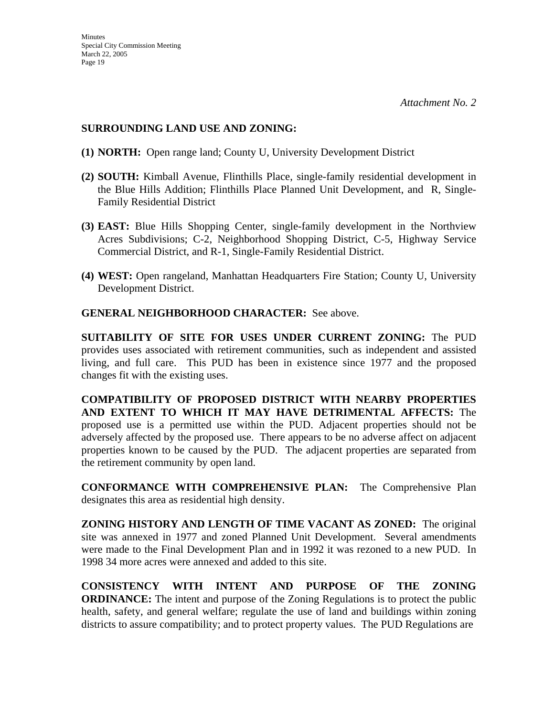#### **SURROUNDING LAND USE AND ZONING:**

- **(1) NORTH:** Open range land; County U, University Development District
- **(2) SOUTH:** Kimball Avenue, Flinthills Place, single-family residential development in the Blue Hills Addition; Flinthills Place Planned Unit Development, and R, Single-Family Residential District
- **(3) EAST:** Blue Hills Shopping Center, single-family development in the Northview Acres Subdivisions; C-2, Neighborhood Shopping District, C-5, Highway Service Commercial District, and R-1, Single-Family Residential District.
- **(4) WEST:** Open rangeland, Manhattan Headquarters Fire Station; County U, University Development District.

#### **GENERAL NEIGHBORHOOD CHARACTER:** See above.

**SUITABILITY OF SITE FOR USES UNDER CURRENT ZONING:** The PUD provides uses associated with retirement communities, such as independent and assisted living, and full care. This PUD has been in existence since 1977 and the proposed changes fit with the existing uses.

**COMPATIBILITY OF PROPOSED DISTRICT WITH NEARBY PROPERTIES AND EXTENT TO WHICH IT MAY HAVE DETRIMENTAL AFFECTS:** The proposed use is a permitted use within the PUD. Adjacent properties should not be adversely affected by the proposed use. There appears to be no adverse affect on adjacent properties known to be caused by the PUD. The adjacent properties are separated from the retirement community by open land.

**CONFORMANCE WITH COMPREHENSIVE PLAN:** The Comprehensive Plan designates this area as residential high density.

**ZONING HISTORY AND LENGTH OF TIME VACANT AS ZONED:** The original site was annexed in 1977 and zoned Planned Unit Development. Several amendments were made to the Final Development Plan and in 1992 it was rezoned to a new PUD. In 1998 34 more acres were annexed and added to this site.

**CONSISTENCY WITH INTENT AND PURPOSE OF THE ZONING ORDINANCE:** The intent and purpose of the Zoning Regulations is to protect the public health, safety, and general welfare; regulate the use of land and buildings within zoning districts to assure compatibility; and to protect property values. The PUD Regulations are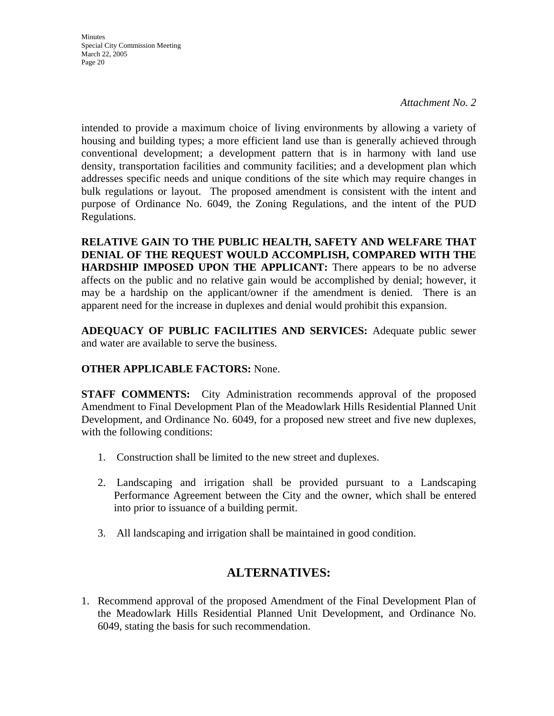*Attachment No. 2*

intended to provide a maximum choice of living environments by allowing a variety of housing and building types; a more efficient land use than is generally achieved through conventional development; a development pattern that is in harmony with land use density, transportation facilities and community facilities; and a development plan which addresses specific needs and unique conditions of the site which may require changes in bulk regulations or layout. The proposed amendment is consistent with the intent and purpose of Ordinance No. 6049, the Zoning Regulations, and the intent of the PUD Regulations.

**RELATIVE GAIN TO THE PUBLIC HEALTH, SAFETY AND WELFARE THAT DENIAL OF THE REQUEST WOULD ACCOMPLISH, COMPARED WITH THE HARDSHIP IMPOSED UPON THE APPLICANT:** There appears to be no adverse affects on the public and no relative gain would be accomplished by denial; however, it may be a hardship on the applicant/owner if the amendment is denied. There is an apparent need for the increase in duplexes and denial would prohibit this expansion.

**ADEQUACY OF PUBLIC FACILITIES AND SERVICES:** Adequate public sewer and water are available to serve the business.

## **OTHER APPLICABLE FACTORS:** None.

**STAFF COMMENTS:** City Administration recommends approval of the proposed Amendment to Final Development Plan of the Meadowlark Hills Residential Planned Unit Development, and Ordinance No. 6049, for a proposed new street and five new duplexes, with the following conditions:

- 1. Construction shall be limited to the new street and duplexes.
- 2. Landscaping and irrigation shall be provided pursuant to a Landscaping Performance Agreement between the City and the owner, which shall be entered into prior to issuance of a building permit.
- 3. All landscaping and irrigation shall be maintained in good condition.

# **ALTERNATIVES:**

1. Recommend approval of the proposed Amendment of the Final Development Plan of the Meadowlark Hills Residential Planned Unit Development, and Ordinance No. 6049, stating the basis for such recommendation.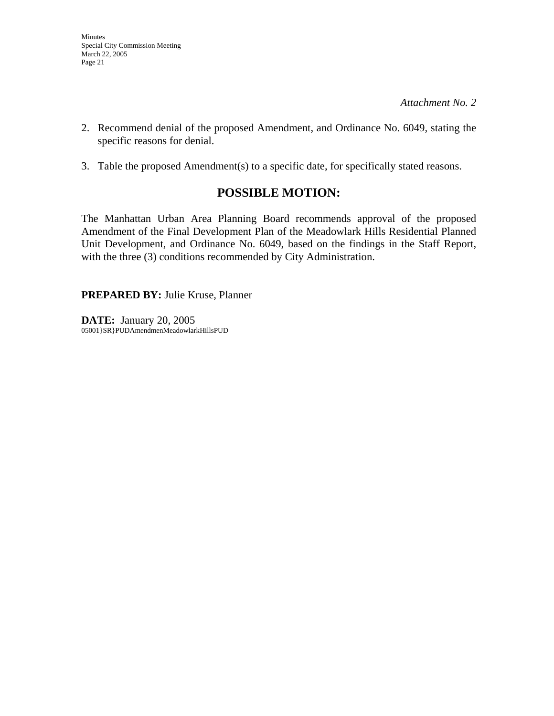- 2. Recommend denial of the proposed Amendment, and Ordinance No. 6049, stating the specific reasons for denial.
- 3. Table the proposed Amendment(s) to a specific date, for specifically stated reasons.

# **POSSIBLE MOTION:**

The Manhattan Urban Area Planning Board recommends approval of the proposed Amendment of the Final Development Plan of the Meadowlark Hills Residential Planned Unit Development, and Ordinance No. 6049, based on the findings in the Staff Report, with the three (3) conditions recommended by City Administration.

**PREPARED BY:** Julie Kruse, Planner

**DATE:** January 20, 2005 05001}SR}PUDAmendmenMeadowlarkHillsPUD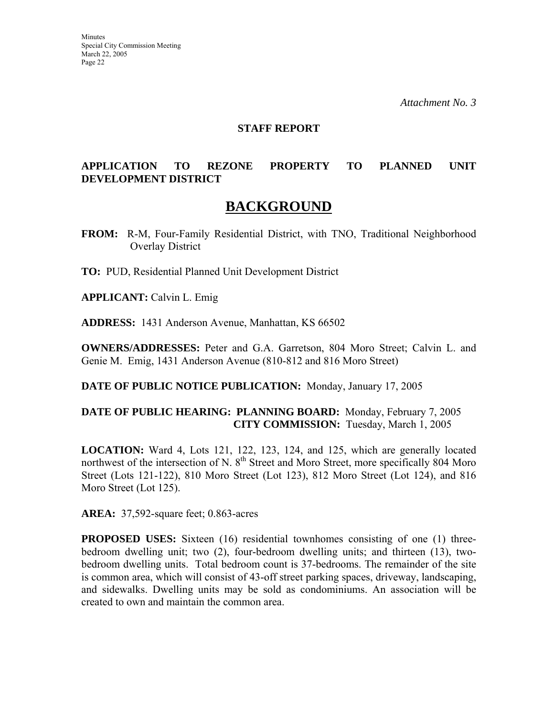#### **STAFF REPORT**

### **APPLICATION TO REZONE PROPERTY TO PLANNED UNIT DEVELOPMENT DISTRICT**

# **BACKGROUND**

**FROM:** R-M, Four-Family Residential District, with TNO, Traditional Neighborhood Overlay District

**TO:** PUD, Residential Planned Unit Development District

**APPLICANT:** Calvin L. Emig

**ADDRESS:** 1431 Anderson Avenue, Manhattan, KS 66502

**OWNERS/ADDRESSES:** Peter and G.A. Garretson, 804 Moro Street; Calvin L. and Genie M. Emig, 1431 Anderson Avenue (810-812 and 816 Moro Street)

**DATE OF PUBLIC NOTICE PUBLICATION:** Monday, January 17, 2005

#### **DATE OF PUBLIC HEARING: PLANNING BOARD:** Monday, February 7, 2005 **CITY COMMISSION:** Tuesday, March 1, 2005

**LOCATION:** Ward 4, Lots 121, 122, 123, 124, and 125, which are generally located northwest of the intersection of N.  $8<sup>th</sup>$  Street and Moro Street, more specifically 804 Moro Street (Lots 121-122), 810 Moro Street (Lot 123), 812 Moro Street (Lot 124), and 816 Moro Street (Lot 125).

**AREA:** 37,592-square feet; 0.863-acres

**PROPOSED USES:** Sixteen (16) residential townhomes consisting of one (1) threebedroom dwelling unit; two (2), four-bedroom dwelling units; and thirteen (13), twobedroom dwelling units. Total bedroom count is 37-bedrooms. The remainder of the site is common area, which will consist of 43-off street parking spaces, driveway, landscaping, and sidewalks. Dwelling units may be sold as condominiums. An association will be created to own and maintain the common area.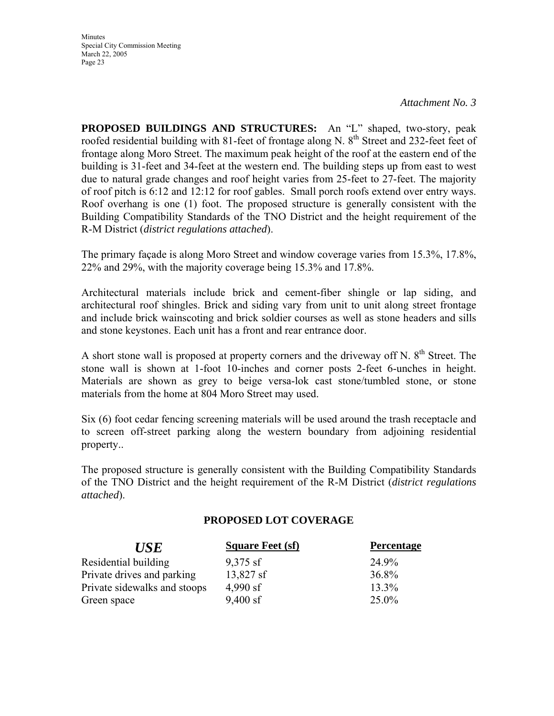**Minutes** Special City Commission Meeting March 22, 2005 Page 23

**PROPOSED BUILDINGS AND STRUCTURES:** An "L" shaped, two-story, peak roofed residential building with 81-feet of frontage along N. 8<sup>th</sup> Street and 232-feet feet of frontage along Moro Street. The maximum peak height of the roof at the eastern end of the building is 31-feet and 34-feet at the western end. The building steps up from east to west due to natural grade changes and roof height varies from 25-feet to 27-feet. The majority of roof pitch is 6:12 and 12:12 for roof gables. Small porch roofs extend over entry ways. Roof overhang is one (1) foot. The proposed structure is generally consistent with the Building Compatibility Standards of the TNO District and the height requirement of the R-M District (*district regulations attached*).

The primary façade is along Moro Street and window coverage varies from 15.3%, 17.8%, 22% and 29%, with the majority coverage being 15.3% and 17.8%.

Architectural materials include brick and cement-fiber shingle or lap siding, and architectural roof shingles. Brick and siding vary from unit to unit along street frontage and include brick wainscoting and brick soldier courses as well as stone headers and sills and stone keystones. Each unit has a front and rear entrance door.

A short stone wall is proposed at property corners and the driveway off N.  $8<sup>th</sup>$  Street. The stone wall is shown at 1-foot 10-inches and corner posts 2-feet 6-unches in height. Materials are shown as grey to beige versa-lok cast stone/tumbled stone, or stone materials from the home at 804 Moro Street may used.

Six (6) foot cedar fencing screening materials will be used around the trash receptacle and to screen off-street parking along the western boundary from adjoining residential property..

The proposed structure is generally consistent with the Building Compatibility Standards of the TNO District and the height requirement of the R-M District (*district regulations attached*).

### **PROPOSED LOT COVERAGE**

| <b>USE</b>                   | <b>Square Feet (sf)</b> | <b>Percentage</b> |
|------------------------------|-------------------------|-------------------|
| Residential building         | $9,375$ sf              | 24.9%             |
| Private drives and parking   | $13,827$ sf             | 36.8%             |
| Private sidewalks and stoops | 4,990 sf                | 13.3%             |
| Green space                  | $9,400$ sf              | 25.0%             |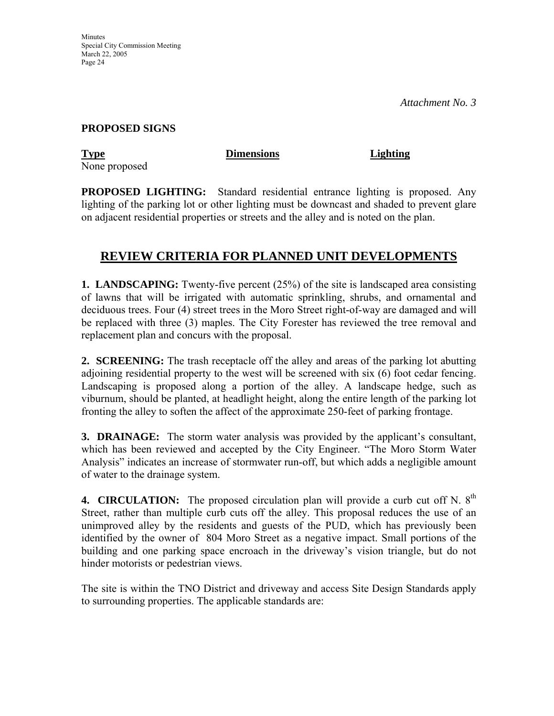#### **PROPOSED SIGNS**

**Type Dimensions Lighting** None proposed

**PROPOSED LIGHTING:** Standard residential entrance lighting is proposed. Any lighting of the parking lot or other lighting must be downcast and shaded to prevent glare on adjacent residential properties or streets and the alley and is noted on the plan.

# **REVIEW CRITERIA FOR PLANNED UNIT DEVELOPMENTS**

**1. LANDSCAPING:** Twenty-five percent (25%) of the site is landscaped area consisting of lawns that will be irrigated with automatic sprinkling, shrubs, and ornamental and deciduous trees. Four (4) street trees in the Moro Street right-of-way are damaged and will be replaced with three (3) maples. The City Forester has reviewed the tree removal and replacement plan and concurs with the proposal.

**2. SCREENING:** The trash receptacle off the alley and areas of the parking lot abutting adjoining residential property to the west will be screened with six (6) foot cedar fencing. Landscaping is proposed along a portion of the alley. A landscape hedge, such as viburnum, should be planted, at headlight height, along the entire length of the parking lot fronting the alley to soften the affect of the approximate 250-feet of parking frontage.

**3. DRAINAGE:** The storm water analysis was provided by the applicant's consultant, which has been reviewed and accepted by the City Engineer. "The Moro Storm Water Analysis" indicates an increase of stormwater run-off, but which adds a negligible amount of water to the drainage system.

**4. CIRCULATION:** The proposed circulation plan will provide a curb cut off N. 8<sup>th</sup> Street, rather than multiple curb cuts off the alley. This proposal reduces the use of an unimproved alley by the residents and guests of the PUD, which has previously been identified by the owner of 804 Moro Street as a negative impact. Small portions of the building and one parking space encroach in the driveway's vision triangle, but do not hinder motorists or pedestrian views.

The site is within the TNO District and driveway and access Site Design Standards apply to surrounding properties. The applicable standards are: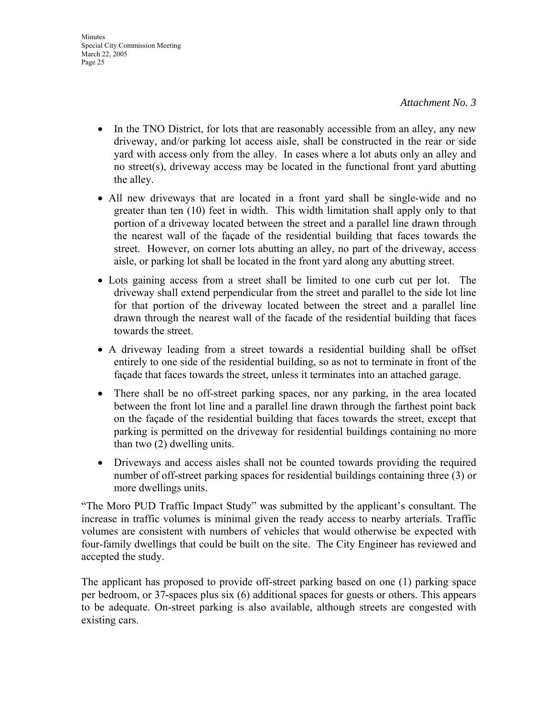- In the TNO District, for lots that are reasonably accessible from an alley, any new driveway, and/or parking lot access aisle, shall be constructed in the rear or side yard with access only from the alley. In cases where a lot abuts only an alley and no street(s), driveway access may be located in the functional front yard abutting the alley.
- All new driveways that are located in a front yard shall be single-wide and no greater than ten (10) feet in width. This width limitation shall apply only to that portion of a driveway located between the street and a parallel line drawn through the nearest wall of the façade of the residential building that faces towards the street. However, on corner lots abutting an alley, no part of the driveway, access aisle, or parking lot shall be located in the front yard along any abutting street.
- Lots gaining access from a street shall be limited to one curb cut per lot. The driveway shall extend perpendicular from the street and parallel to the side lot line for that portion of the driveway located between the street and a parallel line drawn through the nearest wall of the facade of the residential building that faces towards the street.
- A driveway leading from a street towards a residential building shall be offset entirely to one side of the residential building, so as not to terminate in front of the façade that faces towards the street, unless it terminates into an attached garage.
- There shall be no off-street parking spaces, nor any parking, in the area located between the front lot line and a parallel line drawn through the farthest point back on the façade of the residential building that faces towards the street, except that parking is permitted on the driveway for residential buildings containing no more than two (2) dwelling units.
- Driveways and access aisles shall not be counted towards providing the required number of off-street parking spaces for residential buildings containing three (3) or more dwellings units.

"The Moro PUD Traffic Impact Study" was submitted by the applicant's consultant. The increase in traffic volumes is minimal given the ready access to nearby arterials. Traffic volumes are consistent with numbers of vehicles that would otherwise be expected with four-family dwellings that could be built on the site. The City Engineer has reviewed and accepted the study.

The applicant has proposed to provide off-street parking based on one (1) parking space per bedroom, or 37-spaces plus six (6) additional spaces for guests or others. This appears to be adequate. On-street parking is also available, although streets are congested with existing cars.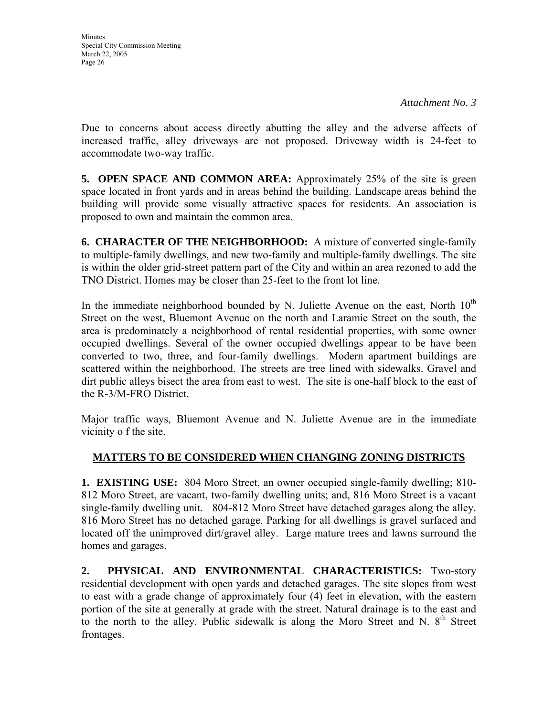Due to concerns about access directly abutting the alley and the adverse affects of increased traffic, alley driveways are not proposed. Driveway width is 24-feet to accommodate two-way traffic.

**5. OPEN SPACE AND COMMON AREA:** Approximately 25% of the site is green space located in front yards and in areas behind the building. Landscape areas behind the building will provide some visually attractive spaces for residents. An association is proposed to own and maintain the common area.

**6. CHARACTER OF THE NEIGHBORHOOD:** A mixture of converted single-family to multiple-family dwellings, and new two-family and multiple-family dwellings. The site is within the older grid-street pattern part of the City and within an area rezoned to add the TNO District. Homes may be closer than 25-feet to the front lot line.

In the immediate neighborhood bounded by N. Juliette Avenue on the east, North  $10<sup>th</sup>$ Street on the west, Bluemont Avenue on the north and Laramie Street on the south, the area is predominately a neighborhood of rental residential properties, with some owner occupied dwellings. Several of the owner occupied dwellings appear to be have been converted to two, three, and four-family dwellings. Modern apartment buildings are scattered within the neighborhood. The streets are tree lined with sidewalks. Gravel and dirt public alleys bisect the area from east to west. The site is one-half block to the east of the R-3/M-FRO District.

Major traffic ways, Bluemont Avenue and N. Juliette Avenue are in the immediate vicinity o f the site.

# **MATTERS TO BE CONSIDERED WHEN CHANGING ZONING DISTRICTS**

**1. EXISTING USE:** 804 Moro Street, an owner occupied single-family dwelling; 810- 812 Moro Street, are vacant, two-family dwelling units; and, 816 Moro Street is a vacant single-family dwelling unit. 804-812 Moro Street have detached garages along the alley. 816 Moro Street has no detached garage. Parking for all dwellings is gravel surfaced and located off the unimproved dirt/gravel alley. Large mature trees and lawns surround the homes and garages.

**2. PHYSICAL AND ENVIRONMENTAL CHARACTERISTICS:** Two-story residential development with open yards and detached garages. The site slopes from west to east with a grade change of approximately four (4) feet in elevation, with the eastern portion of the site at generally at grade with the street. Natural drainage is to the east and to the north to the alley. Public sidewalk is along the Moro Street and N.  $8<sup>th</sup>$  Street frontages.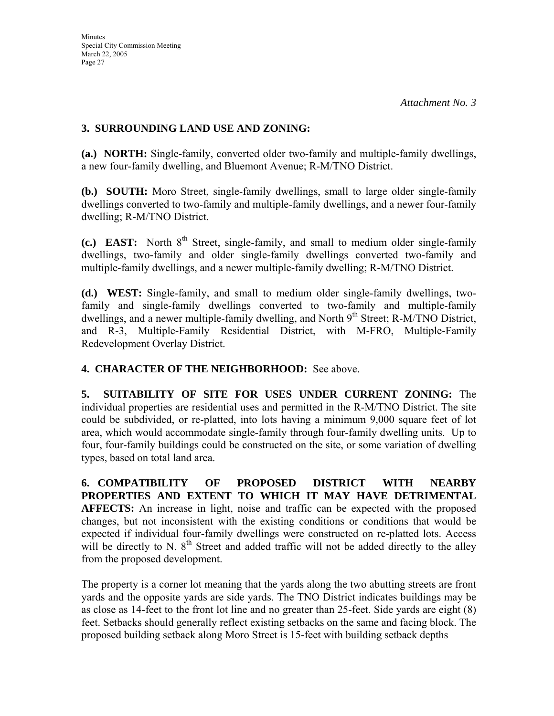### **3. SURROUNDING LAND USE AND ZONING:**

**(a.) NORTH:** Single-family, converted older two-family and multiple-family dwellings, a new four-family dwelling, and Bluemont Avenue; R-M/TNO District.

**(b.) SOUTH:** Moro Street, single-family dwellings, small to large older single-family dwellings converted to two-family and multiple-family dwellings, and a newer four-family dwelling; R-M/TNO District.

(c.) EAST: North 8<sup>th</sup> Street, single-family, and small to medium older single-family dwellings, two-family and older single-family dwellings converted two-family and multiple-family dwellings, and a newer multiple-family dwelling; R-M/TNO District.

**(d.) WEST:** Single-family, and small to medium older single-family dwellings, twofamily and single-family dwellings converted to two-family and multiple-family dwellings, and a newer multiple-family dwelling, and North  $9<sup>th</sup>$  Street; R-M/TNO District, and R-3, Multiple-Family Residential District, with M-FRO, Multiple-Family Redevelopment Overlay District.

### **4. CHARACTER OF THE NEIGHBORHOOD:** See above.

**5. SUITABILITY OF SITE FOR USES UNDER CURRENT ZONING:** The individual properties are residential uses and permitted in the R-M/TNO District. The site could be subdivided, or re-platted, into lots having a minimum 9,000 square feet of lot area, which would accommodate single-family through four-family dwelling units. Up to four, four-family buildings could be constructed on the site, or some variation of dwelling types, based on total land area.

**6. COMPATIBILITY OF PROPOSED DISTRICT WITH NEARBY PROPERTIES AND EXTENT TO WHICH IT MAY HAVE DETRIMENTAL AFFECTS:** An increase in light, noise and traffic can be expected with the proposed changes, but not inconsistent with the existing conditions or conditions that would be expected if individual four-family dwellings were constructed on re-platted lots. Access will be directly to N. 8<sup>th</sup> Street and added traffic will not be added directly to the alley from the proposed development.

The property is a corner lot meaning that the yards along the two abutting streets are front yards and the opposite yards are side yards. The TNO District indicates buildings may be as close as 14-feet to the front lot line and no greater than 25-feet. Side yards are eight (8) feet. Setbacks should generally reflect existing setbacks on the same and facing block. The proposed building setback along Moro Street is 15-feet with building setback depths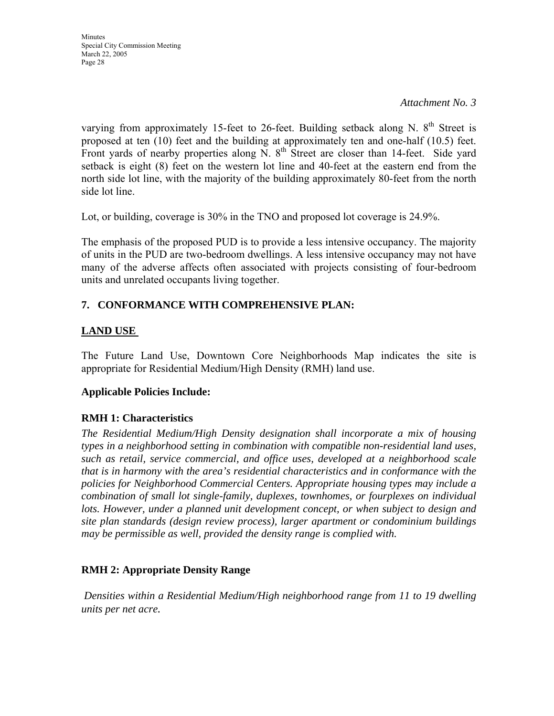*Attachment No. 3*

varying from approximately 15-feet to 26-feet. Building setback along N.  $8<sup>th</sup>$  Street is proposed at ten (10) feet and the building at approximately ten and one-half (10.5) feet. Front yards of nearby properties along N.  $8<sup>th</sup>$  Street are closer than 14-feet. Side yard setback is eight (8) feet on the western lot line and 40-feet at the eastern end from the north side lot line, with the majority of the building approximately 80-feet from the north side lot line.

Lot, or building, coverage is 30% in the TNO and proposed lot coverage is 24.9%.

The emphasis of the proposed PUD is to provide a less intensive occupancy. The majority of units in the PUD are two-bedroom dwellings. A less intensive occupancy may not have many of the adverse affects often associated with projects consisting of four-bedroom units and unrelated occupants living together.

# **7. CONFORMANCE WITH COMPREHENSIVE PLAN:**

# **LAND USE**

The Future Land Use, Downtown Core Neighborhoods Map indicates the site is appropriate for Residential Medium/High Density (RMH) land use.

## **Applicable Policies Include:**

## **RMH 1: Characteristics**

*The Residential Medium/High Density designation shall incorporate a mix of housing types in a neighborhood setting in combination with compatible non-residential land uses, such as retail, service commercial, and office uses, developed at a neighborhood scale that is in harmony with the area's residential characteristics and in conformance with the policies for Neighborhood Commercial Centers. Appropriate housing types may include a combination of small lot single-family, duplexes, townhomes, or fourplexes on individual lots. However, under a planned unit development concept, or when subject to design and site plan standards (design review process), larger apartment or condominium buildings may be permissible as well, provided the density range is complied with.* 

## **RMH 2: Appropriate Density Range**

*Densities within a Residential Medium/High neighborhood range from 11 to 19 dwelling units per net acre.*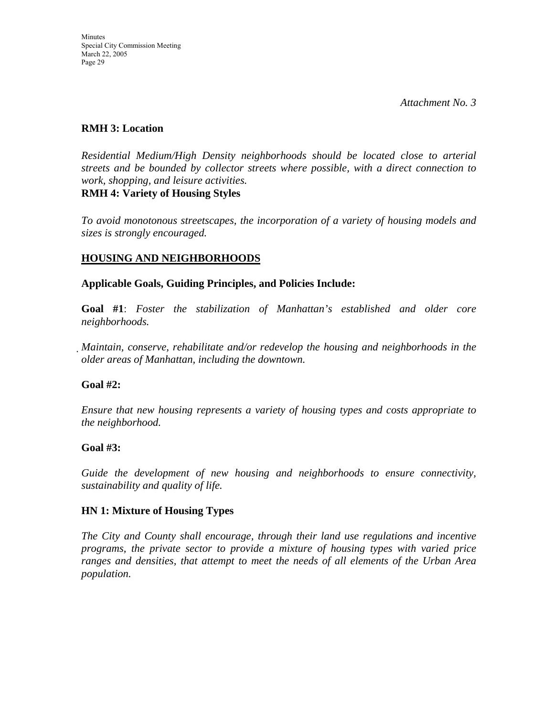*Attachment No. 3*

#### **RMH 3: Location**

*Residential Medium/High Density neighborhoods should be located close to arterial streets and be bounded by collector streets where possible, with a direct connection to work, shopping, and leisure activities.*  **RMH 4: Variety of Housing Styles** 

*To avoid monotonous streetscapes, the incorporation of a variety of housing models and sizes is strongly encouraged.* 

### **HOUSING AND NEIGHBORHOODS**

**Applicable Goals, Guiding Principles, and Policies Include:** 

**Goal #1**: *Foster the stabilization of Manhattan's established and older core neighborhoods.*

*Maintain, conserve, rehabilitate and/or redevelop the housing and neighborhoods in the older areas of Manhattan, including the downtown.*

#### **Goal #2:**

*Ensure that new housing represents a variety of housing types and costs appropriate to the neighborhood.* 

#### **Goal #3:**

*Guide the development of new housing and neighborhoods to ensure connectivity, sustainability and quality of life.* 

#### **HN 1: Mixture of Housing Types**

*The City and County shall encourage, through their land use regulations and incentive programs, the private sector to provide a mixture of housing types with varied price ranges and densities, that attempt to meet the needs of all elements of the Urban Area population.*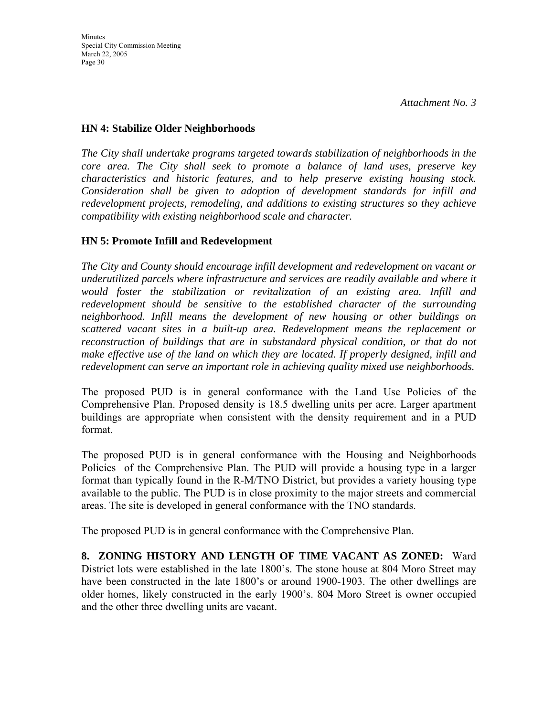#### **HN 4: Stabilize Older Neighborhoods**

*The City shall undertake programs targeted towards stabilization of neighborhoods in the core area. The City shall seek to promote a balance of land uses, preserve key characteristics and historic features, and to help preserve existing housing stock. Consideration shall be given to adoption of development standards for infill and redevelopment projects, remodeling, and additions to existing structures so they achieve compatibility with existing neighborhood scale and character.* 

### **HN 5: Promote Infill and Redevelopment**

*The City and County should encourage infill development and redevelopment on vacant or underutilized parcels where infrastructure and services are readily available and where it would foster the stabilization or revitalization of an existing area. Infill and redevelopment should be sensitive to the established character of the surrounding neighborhood. Infill means the development of new housing or other buildings on scattered vacant sites in a built-up area. Redevelopment means the replacement or reconstruction of buildings that are in substandard physical condition, or that do not make effective use of the land on which they are located. If properly designed, infill and redevelopment can serve an important role in achieving quality mixed use neighborhoods.*

The proposed PUD is in general conformance with the Land Use Policies of the Comprehensive Plan. Proposed density is 18.5 dwelling units per acre. Larger apartment buildings are appropriate when consistent with the density requirement and in a PUD format.

The proposed PUD is in general conformance with the Housing and Neighborhoods Policies of the Comprehensive Plan. The PUD will provide a housing type in a larger format than typically found in the R-M/TNO District, but provides a variety housing type available to the public. The PUD is in close proximity to the major streets and commercial areas. The site is developed in general conformance with the TNO standards.

The proposed PUD is in general conformance with the Comprehensive Plan.

**8. ZONING HISTORY AND LENGTH OF TIME VACANT AS ZONED:** Ward District lots were established in the late 1800's. The stone house at 804 Moro Street may have been constructed in the late 1800's or around 1900-1903. The other dwellings are older homes, likely constructed in the early 1900's. 804 Moro Street is owner occupied and the other three dwelling units are vacant.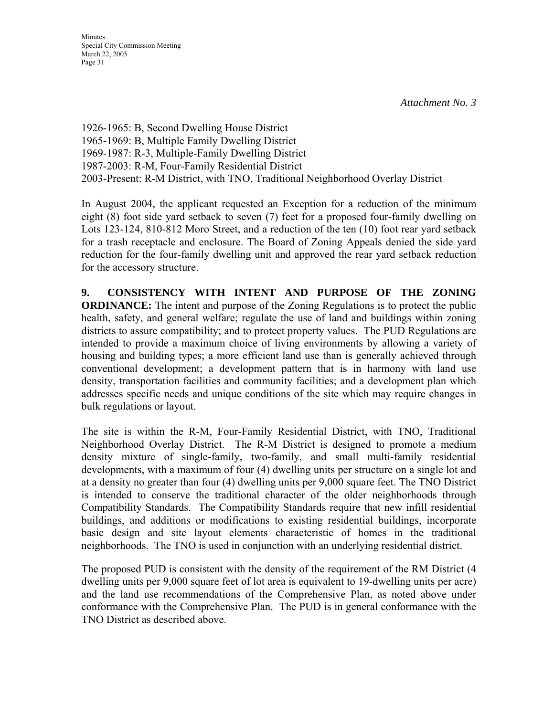**Minutes** Special City Commission Meeting March 22, 2005 Page 31

1926-1965: B, Second Dwelling House District 1965-1969: B, Multiple Family Dwelling District 1969-1987: R-3, Multiple-Family Dwelling District 1987-2003: R-M, Four-Family Residential District 2003-Present: R-M District, with TNO, Traditional Neighborhood Overlay District

In August 2004, the applicant requested an Exception for a reduction of the minimum eight (8) foot side yard setback to seven (7) feet for a proposed four-family dwelling on Lots 123-124, 810-812 Moro Street, and a reduction of the ten (10) foot rear yard setback for a trash receptacle and enclosure. The Board of Zoning Appeals denied the side yard reduction for the four-family dwelling unit and approved the rear yard setback reduction for the accessory structure.

**9. CONSISTENCY WITH INTENT AND PURPOSE OF THE ZONING ORDINANCE:** The intent and purpose of the Zoning Regulations is to protect the public health, safety, and general welfare; regulate the use of land and buildings within zoning districts to assure compatibility; and to protect property values. The PUD Regulations are intended to provide a maximum choice of living environments by allowing a variety of housing and building types; a more efficient land use than is generally achieved through conventional development; a development pattern that is in harmony with land use density, transportation facilities and community facilities; and a development plan which addresses specific needs and unique conditions of the site which may require changes in bulk regulations or layout.

The site is within the R-M, Four-Family Residential District, with TNO, Traditional Neighborhood Overlay District. The R-M District is designed to promote a medium density mixture of single-family, two-family, and small multi-family residential developments, with a maximum of four (4) dwelling units per structure on a single lot and at a density no greater than four (4) dwelling units per 9,000 square feet. The TNO District is intended to conserve the traditional character of the older neighborhoods through Compatibility Standards. The Compatibility Standards require that new infill residential buildings, and additions or modifications to existing residential buildings, incorporate basic design and site layout elements characteristic of homes in the traditional neighborhoods. The TNO is used in conjunction with an underlying residential district.

The proposed PUD is consistent with the density of the requirement of the RM District (4 dwelling units per 9,000 square feet of lot area is equivalent to 19-dwelling units per acre) and the land use recommendations of the Comprehensive Plan, as noted above under conformance with the Comprehensive Plan. The PUD is in general conformance with the TNO District as described above.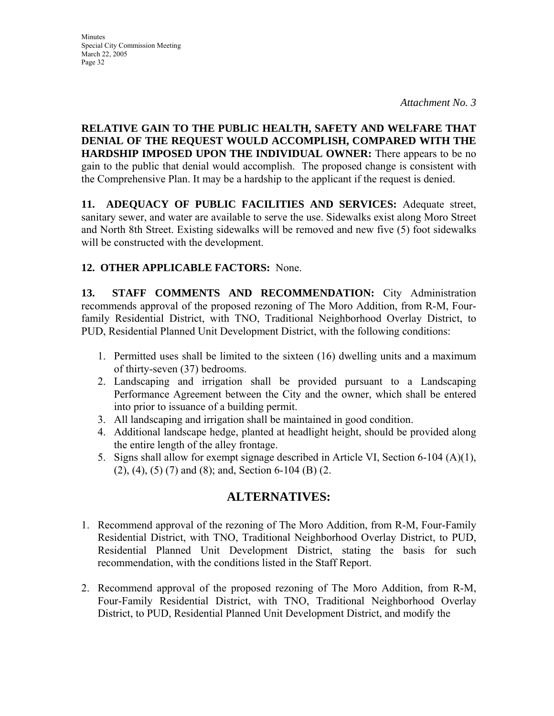**RELATIVE GAIN TO THE PUBLIC HEALTH, SAFETY AND WELFARE THAT DENIAL OF THE REQUEST WOULD ACCOMPLISH, COMPARED WITH THE HARDSHIP IMPOSED UPON THE INDIVIDUAL OWNER:** There appears to be no gain to the public that denial would accomplish. The proposed change is consistent with the Comprehensive Plan. It may be a hardship to the applicant if the request is denied.

**11. ADEQUACY OF PUBLIC FACILITIES AND SERVICES:** Adequate street, sanitary sewer, and water are available to serve the use. Sidewalks exist along Moro Street and North 8th Street. Existing sidewalks will be removed and new five (5) foot sidewalks will be constructed with the development.

# **12. OTHER APPLICABLE FACTORS:** None.

**13. STAFF COMMENTS AND RECOMMENDATION:** City Administration recommends approval of the proposed rezoning of The Moro Addition, from R-M, Fourfamily Residential District, with TNO, Traditional Neighborhood Overlay District, to PUD, Residential Planned Unit Development District, with the following conditions:

- 1. Permitted uses shall be limited to the sixteen (16) dwelling units and a maximum of thirty-seven (37) bedrooms.
- 2. Landscaping and irrigation shall be provided pursuant to a Landscaping Performance Agreement between the City and the owner, which shall be entered into prior to issuance of a building permit.
- 3. All landscaping and irrigation shall be maintained in good condition.
- 4. Additional landscape hedge, planted at headlight height, should be provided along the entire length of the alley frontage.
- 5. Signs shall allow for exempt signage described in Article VI, Section 6-104 (A)(1), (2), (4), (5) (7) and (8); and, Section 6-104 (B) (2.

# **ALTERNATIVES:**

- 1. Recommend approval of the rezoning of The Moro Addition, from R-M, Four-Family Residential District, with TNO, Traditional Neighborhood Overlay District, to PUD, Residential Planned Unit Development District, stating the basis for such recommendation, with the conditions listed in the Staff Report.
- 2. Recommend approval of the proposed rezoning of The Moro Addition, from R-M, Four-Family Residential District, with TNO, Traditional Neighborhood Overlay District, to PUD, Residential Planned Unit Development District, and modify the